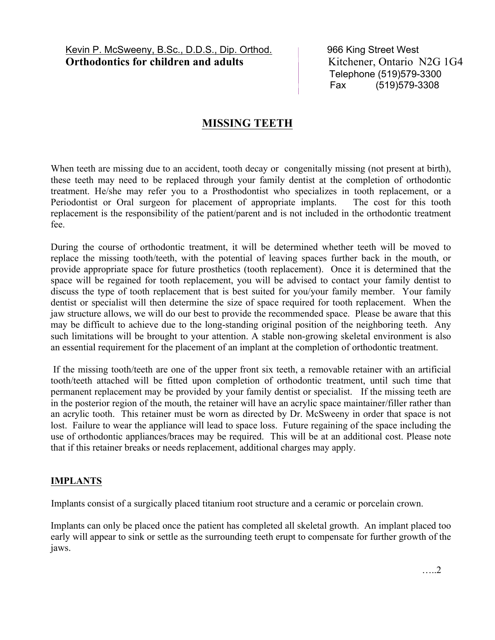Kevin P. McSweeny, B.Sc., D.D.S., Dip. Orthod. 1966 King Street West **Orthodontics for children and adults** Kitchener, Ontario N2G 1G4

 Telephone (519)579-3300 Fax (519)579-3308

## **MISSING TEETH**

When teeth are missing due to an accident, tooth decay or congenitally missing (not present at birth), these teeth may need to be replaced through your family dentist at the completion of orthodontic treatment. He/she may refer you to a Prosthodontist who specializes in tooth replacement, or a Periodontist or Oral surgeon for placement of appropriate implants. The cost for this tooth replacement is the responsibility of the patient/parent and is not included in the orthodontic treatment fee.

During the course of orthodontic treatment, it will be determined whether teeth will be moved to replace the missing tooth/teeth, with the potential of leaving spaces further back in the mouth, or provide appropriate space for future prosthetics (tooth replacement). Once it is determined that the space will be regained for tooth replacement, you will be advised to contact your family dentist to discuss the type of tooth replacement that is best suited for you/your family member. Your family dentist or specialist will then determine the size of space required for tooth replacement. When the jaw structure allows, we will do our best to provide the recommended space. Please be aware that this may be difficult to achieve due to the long-standing original position of the neighboring teeth. Any such limitations will be brought to your attention. A stable non-growing skeletal environment is also an essential requirement for the placement of an implant at the completion of orthodontic treatment.

If the missing tooth/teeth are one of the upper front six teeth, a removable retainer with an artificial tooth/teeth attached will be fitted upon completion of orthodontic treatment, until such time that permanent replacement may be provided by your family dentist or specialist. If the missing teeth are in the posterior region of the mouth, the retainer will have an acrylic space maintainer/filler rather than an acrylic tooth. This retainer must be worn as directed by Dr. McSweeny in order that space is not lost. Failure to wear the appliance will lead to space loss. Future regaining of the space including the use of orthodontic appliances/braces may be required. This will be at an additional cost. Please note that if this retainer breaks or needs replacement, additional charges may apply.

## **IMPLANTS**

Implants consist of a surgically placed titanium root structure and a ceramic or porcelain crown.

Implants can only be placed once the patient has completed all skeletal growth. An implant placed too early will appear to sink or settle as the surrounding teeth erupt to compensate for further growth of the jaws.